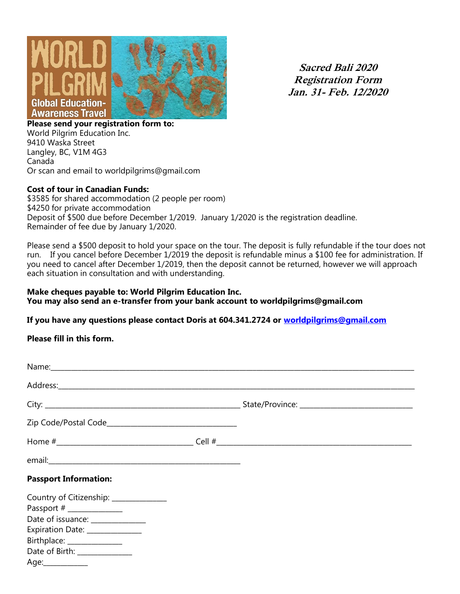

**Sacred Bali 2020 Registration Form Jan. 31- Feb. 12/2020**

**Please send your registration form to:**  World Pilgrim Education Inc. 9410 Waska Street Langley, BC, V1M 4G3 Canada Or scan and email to worldpilgrims@gmail.com

#### **Cost of tour in Canadian Funds:**

\$3585 for shared accommodation (2 people per room) \$4250 for private accommodation Deposit of \$500 due before December 1/2019. January 1/2020 is the registration deadline. Remainder of fee due by January 1/2020.

Please send a \$500 deposit to hold your space on the tour. The deposit is fully refundable if the tour does not run. If you cancel before December 1/2019 the deposit is refundable minus a \$100 fee for administration. If you need to cancel after December 1/2019, then the deposit cannot be returned, however we will approach each situation in consultation and with understanding.

#### **Make cheques payable to: World Pilgrim Education Inc. You may also send an e-transfer from your bank account to worldpilgrims@gmail.com**

## **If you have any questions please contact Doris at 604.341.2724 or [worldpilgrims@gmail.com](mailto:worldpilgrims@gmail.com)**

**Please fill in this form.** 

| <b>Passport Information:</b>                                                                                                                                                                             |  |
|----------------------------------------------------------------------------------------------------------------------------------------------------------------------------------------------------------|--|
| Country of Citizenship: ____________<br>Passport # _______________<br>Date of issuance: ______________<br>Expiration Date: ______________<br>Birthplace: _______________<br>Date of Birth: _____________ |  |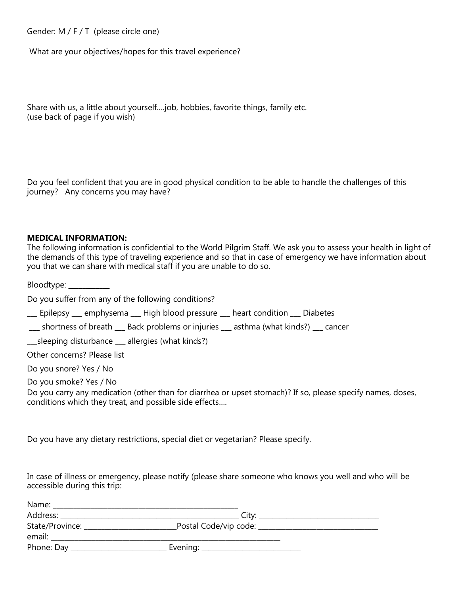Gender: M / F / T (please circle one)

What are your objectives/hopes for this travel experience?

Share with us, a little about yourself….job, hobbies, favorite things, family etc. (use back of page if you wish)

Do you feel confident that you are in good physical condition to be able to handle the challenges of this journey? Any concerns you may have?

#### **MEDICAL INFORMATION:**

The following information is confidential to the World Pilgrim Staff. We ask you to assess your health in light of the demands of this type of traveling experience and so that in case of emergency we have information about you that we can share with medical staff if you are unable to do so.

Bloodtype: \_\_\_\_\_\_\_\_\_\_\_\_

Do you suffer from any of the following conditions?

\_\_\_ Epilepsy \_\_\_ emphysema \_\_\_ High blood pressure \_\_\_ heart condition \_\_\_ Diabetes

\_\_\_ shortness of breath \_\_\_ Back problems or injuries \_\_\_ asthma (what kinds?) \_\_\_ cancer

\_\_\_sleeping disturbance \_\_\_ allergies (what kinds?)

Other concerns? Please list

Do you snore? Yes / No

Do you smoke? Yes / No

Do you carry any medication (other than for diarrhea or upset stomach)? If so, please specify names, doses, conditions which they treat, and possible side effects….

Do you have any dietary restrictions, special diet or vegetarian? Please specify.

In case of illness or emergency, please notify (please share someone who knows you well and who will be accessible during this trip:

| Name:           |                                            |  |
|-----------------|--------------------------------------------|--|
|                 | Citv:                                      |  |
| State/Province: | Postal Code/vip code: ____________________ |  |
| email:          |                                            |  |
| Phone: Day _    | Evening: __________________________        |  |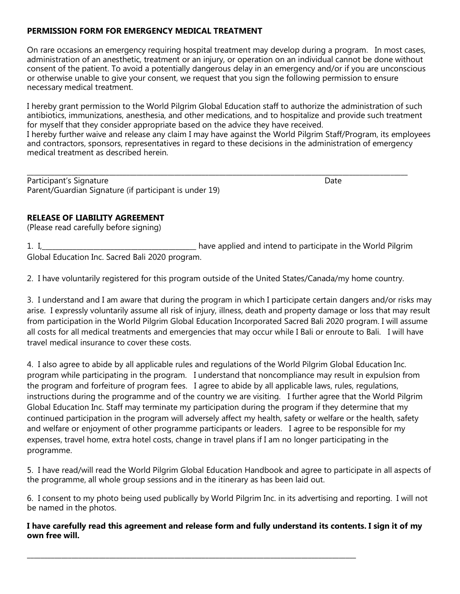# **PERMISSION FORM FOR EMERGENCY MEDICAL TREATMENT**

On rare occasions an emergency requiring hospital treatment may develop during a program. In most cases, administration of an anesthetic, treatment or an injury, or operation on an individual cannot be done without consent of the patient. To avoid a potentially dangerous delay in an emergency and/or if you are unconscious or otherwise unable to give your consent, we request that you sign the following permission to ensure necessary medical treatment.

I hereby grant permission to the World Pilgrim Global Education staff to authorize the administration of such antibiotics, immunizations, anesthesia, and other medications, and to hospitalize and provide such treatment for myself that they consider appropriate based on the advice they have received. I hereby further waive and release any claim I may have against the World Pilgrim Staff/Program, its employees and contractors, sponsors, representatives in regard to these decisions in the administration of emergency medical treatment as described herein.

\_\_\_\_\_\_\_\_\_\_\_\_\_\_\_\_\_\_\_\_\_\_\_\_\_\_\_\_\_\_\_\_\_\_\_\_\_\_\_\_\_\_\_\_\_\_\_\_\_\_\_\_\_\_\_\_\_\_\_\_\_\_\_\_\_\_\_\_\_\_\_\_\_\_\_\_\_\_\_\_\_\_\_\_\_\_\_\_\_\_\_\_\_\_\_\_\_\_\_\_\_\_\_\_\_\_\_\_\_\_\_ Participant's Signature **Date of Americian Structure** Date Date of Americian Control of Americian Control of Americian Control of Americian Control of Americian Control of Americian Control of Americian Control of Americia Parent/Guardian Signature (if participant is under 19)

## **RELEASE OF LIABILITY AGREEMENT**

(Please read carefully before signing)

1. I,\_\_\_\_\_\_\_\_\_\_\_\_\_\_\_\_\_\_\_\_\_\_\_\_\_\_\_\_\_\_\_\_\_\_\_\_\_\_\_\_\_\_\_\_\_ have applied and intend to participate in the World Pilgrim Global Education Inc. Sacred Bali 2020 program.

2. I have voluntarily registered for this program outside of the United States/Canada/my home country.

3. I understand and I am aware that during the program in which I participate certain dangers and/or risks may arise. I expressly voluntarily assume all risk of injury, illness, death and property damage or loss that may result from participation in the World Pilgrim Global Education Incorporated Sacred Bali 2020 program. I will assume all costs for all medical treatments and emergencies that may occur while I Bali or enroute to Bali. I will have travel medical insurance to cover these costs.

4. I also agree to abide by all applicable rules and regulations of the World Pilgrim Global Education Inc. program while participating in the program. I understand that noncompliance may result in expulsion from the program and forfeiture of program fees. I agree to abide by all applicable laws, rules, regulations, instructions during the programme and of the country we are visiting. I further agree that the World Pilgrim Global Education Inc. Staff may terminate my participation during the program if they determine that my continued participation in the program will adversely affect my health, safety or welfare or the health, safety and welfare or enjoyment of other programme participants or leaders. I agree to be responsible for my expenses, travel home, extra hotel costs, change in travel plans if I am no longer participating in the programme.

5. I have read/will read the World Pilgrim Global Education Handbook and agree to participate in all aspects of the programme, all whole group sessions and in the itinerary as has been laid out.

6. I consent to my photo being used publically by World Pilgrim Inc. in its advertising and reporting. I will not be named in the photos.

## **I have carefully read this agreement and release form and fully understand its contents. I sign it of my own free will.**

\_\_\_\_\_\_\_\_\_\_\_\_\_\_\_\_\_\_\_\_\_\_\_\_\_\_\_\_\_\_\_\_\_\_\_\_\_\_\_\_\_\_\_\_\_\_\_\_\_\_\_\_\_\_\_\_\_\_\_\_\_\_\_\_\_\_\_\_\_\_\_\_\_\_\_\_\_\_\_\_\_\_\_\_\_\_\_\_\_\_\_\_\_\_\_\_